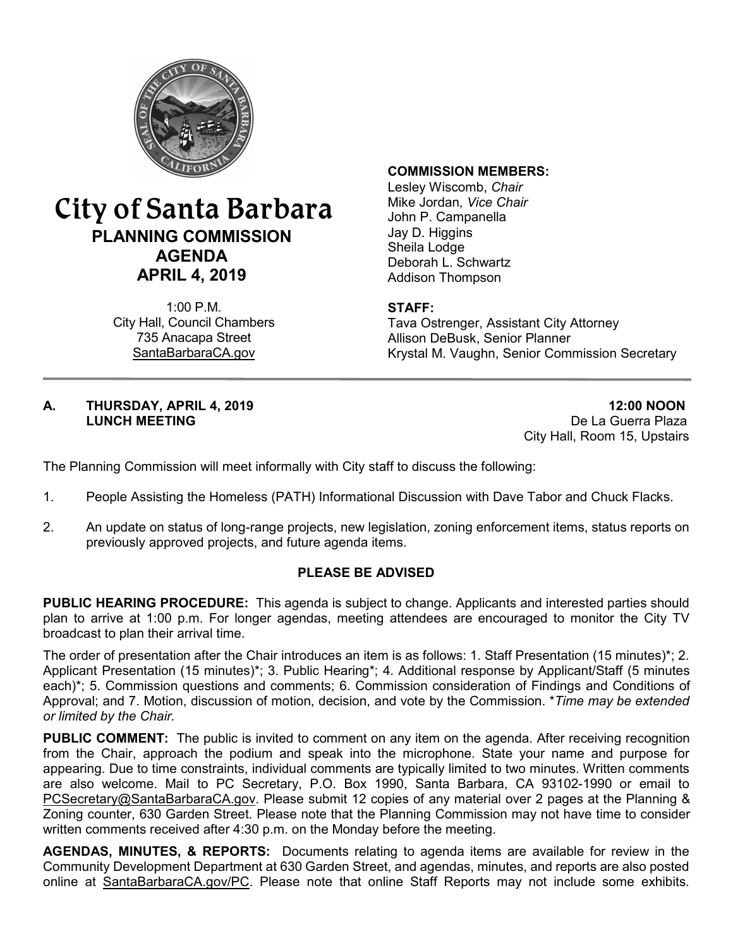

# City of Santa Barbara **PLANNING COMMISSION AGENDA APRIL 4, 2019**

1:00 P.M. City Hall, Council Chambers 735 Anacapa Street SantaBarbaraCA.gov

#### **COMMISSION MEMBERS:**

Lesley Wiscomb, *Chair* Mike Jordan*, Vice Chair* John P. Campanella Jay D. Higgins Sheila Lodge Deborah L. Schwartz Addison Thompson

### **STAFF:**

Tava Ostrenger, Assistant City Attorney Allison DeBusk, Senior Planner Krystal M. Vaughn, Senior Commission Secretary

#### **A. THURSDAY, APRIL 4, 2019 12:00 NOON LUNCH MEETING** De La Guerra Plaza

City Hall, Room 15, Upstairs

The Planning Commission will meet informally with City staff to discuss the following:

- 1. People Assisting the Homeless (PATH) Informational Discussion with Dave Tabor and Chuck Flacks.
- 2. An update on status of long-range projects, new legislation, zoning enforcement items, status reports on previously approved projects, and future agenda items.

### **PLEASE BE ADVISED**

**PUBLIC HEARING PROCEDURE:** This agenda is subject to change. Applicants and interested parties should plan to arrive at 1:00 p.m. For longer agendas, meeting attendees are encouraged to monitor the City TV broadcast to plan their arrival time.

The order of presentation after the Chair introduces an item is as follows: 1. Staff Presentation (15 minutes)\*; 2. Applicant Presentation (15 minutes)\*; 3. Public Hearing\*; 4. Additional response by Applicant/Staff (5 minutes each)\*; 5. Commission questions and comments; 6. Commission consideration of Findings and Conditions of Approval; and 7. Motion, discussion of motion, decision, and vote by the Commission. \**Time may be extended or limited by the Chair.*

**PUBLIC COMMENT:** The public is invited to comment on any item on the agenda. After receiving recognition from the Chair, approach the podium and speak into the microphone. State your name and purpose for appearing. Due to time constraints, individual comments are typically limited to two minutes. Written comments are also welcome. Mail to PC Secretary, P.O. Box 1990, Santa Barbara, CA 93102-1990 or email to [PCSecretary@SantaBarbaraCA.gov](mailto:PCSecretary@SantaBarbaraCA.gov). Please submit 12 copies of any material over 2 pages at the Planning & Zoning counter, 630 Garden Street. Please note that the Planning Commission may not have time to consider written comments received after 4:30 p.m. on the Monday before the meeting.

**AGENDAS, MINUTES, & REPORTS:** Documents relating to agenda items are available for review in the Community Development Department at 630 Garden Street, and agendas, minutes, and reports are also posted online at [SantaBarbaraCA.gov/PC](http://www.santabarbaraca.gov/PC). Please note that online Staff Reports may not include some exhibits.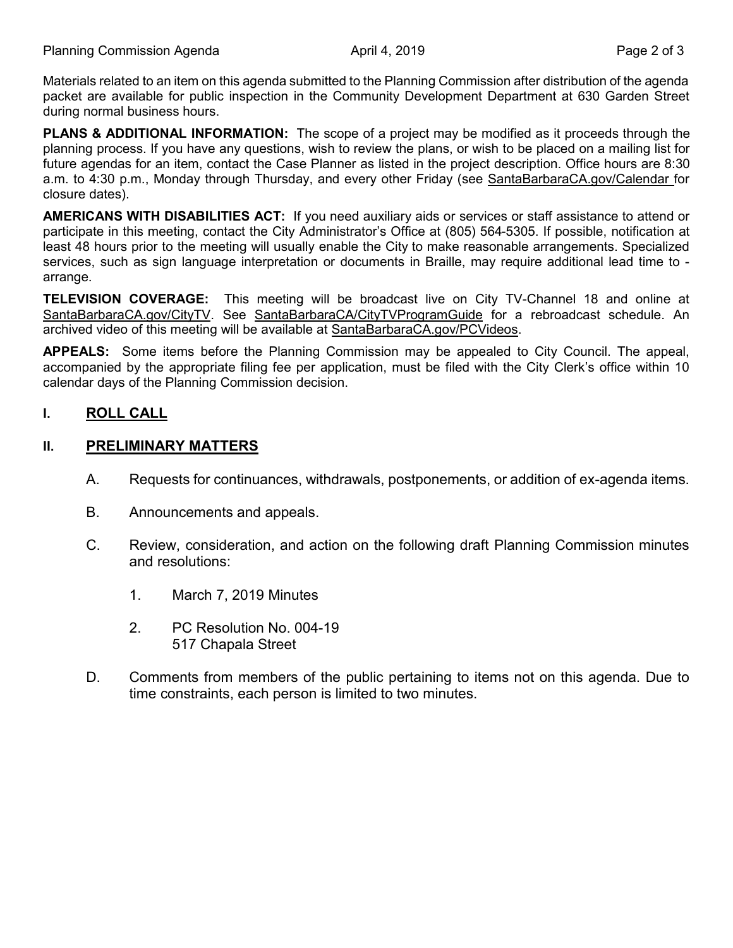Materials related to an item on this agenda submitted to the Planning Commission after distribution of the agenda packet are available for public inspection in the Community Development Department at 630 Garden Street during normal business hours.

**PLANS & ADDITIONAL INFORMATION:** The scope of a project may be modified as it proceeds through the planning process. If you have any questions, wish to review the plans, or wish to be placed on a mailing list for future agendas for an item, contact the Case Planner as listed in the project description. Office hours are 8:30 a.m. to 4:30 p.m., Monday through Thursday, and every other Friday (see [SantaBarbaraCA.gov/Calendar](http://www.santabarbaraca.gov/cals/default.asp) for closure dates).

**AMERICANS WITH DISABILITIES ACT:** If you need auxiliary aids or services or staff assistance to attend or participate in this meeting, contact the City Administrator's Office at (805) 564-5305. If possible, notification at least 48 hours prior to the meeting will usually enable the City to make reasonable arrangements. Specialized services, such as sign language interpretation or documents in Braille, may require additional lead time to arrange.

**TELEVISION COVERAGE:** This meeting will be broadcast live on City TV-Channel 18 and online at [SantaBarbaraCA.gov/CityTV](http://www.santabarbaraca.gov/CityTV). See [SantaBarbaraCA/CityTVProgramGuide](http://www.santabarbaraca.gov/gov/depts/cityadmin/programming.asp) for a rebroadcast schedule. An archived video of this meeting will be available at [SantaBarbaraCA.gov/PCVideos.](http://www.santabarbaraca.gov/PCVideos)

**APPEALS:** Some items before the Planning Commission may be appealed to City Council. The appeal, accompanied by the appropriate filing fee per application, must be filed with the City Clerk's office within 10 calendar days of the Planning Commission decision.

# **I. ROLL CALL**

# **II. PRELIMINARY MATTERS**

- A. Requests for continuances, withdrawals, postponements, or addition of ex-agenda items.
- B. Announcements and appeals.
- C. Review, consideration, and action on the following draft Planning Commission minutes and resolutions:
	- 1. March 7, 2019 Minutes
	- 2. PC Resolution No. 004-19 517 Chapala Street
- D. Comments from members of the public pertaining to items not on this agenda. Due to time constraints, each person is limited to two minutes.